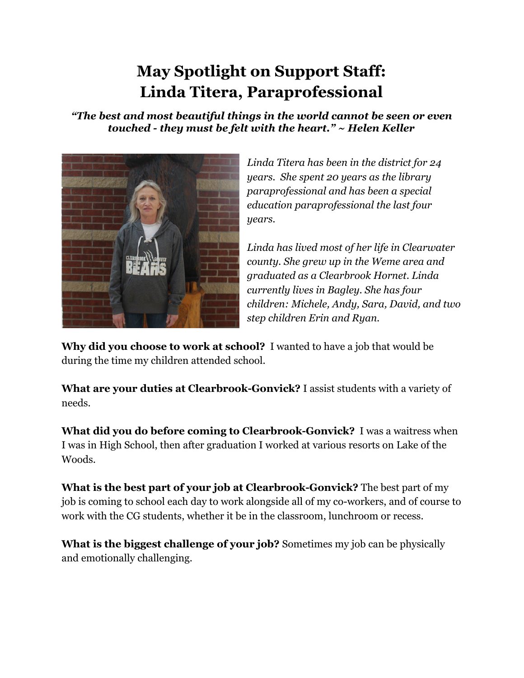## **May Spotlight on Support Staff: Linda Titera, Paraprofessional**

*"The best and most beautiful things in the world cannot be seen or even touched - they must be felt with the heart." ~ Helen Keller*



*Linda Titera has been in the district for 24 years. She spent 20 years as the library paraprofessional and has been a special education paraprofessional the last four years.*

*Linda has lived most of her life in Clearwater county. She grew up in the Weme area and graduated as a Clearbrook Hornet. Linda currently lives in Bagley. She has four children: Michele, Andy, Sara, David, and two step children Erin and Ryan.*

**Why did you choose to work at school?** I wanted to have a job that would be during the time my children attended school.

**What are your duties at Clearbrook-Gonvick?** I assist students with a variety of needs.

**What did you do before coming to Clearbrook-Gonvick?** I was a waitress when I was in High School, then after graduation I worked at various resorts on Lake of the Woods.

**What is the best part of your job at Clearbrook-Gonvick?** The best part of my job is coming to school each day to work alongside all of my co-workers, and of course to work with the CG students, whether it be in the classroom, lunchroom or recess.

**What is the biggest challenge of your job?** Sometimes my job can be physically and emotionally challenging.